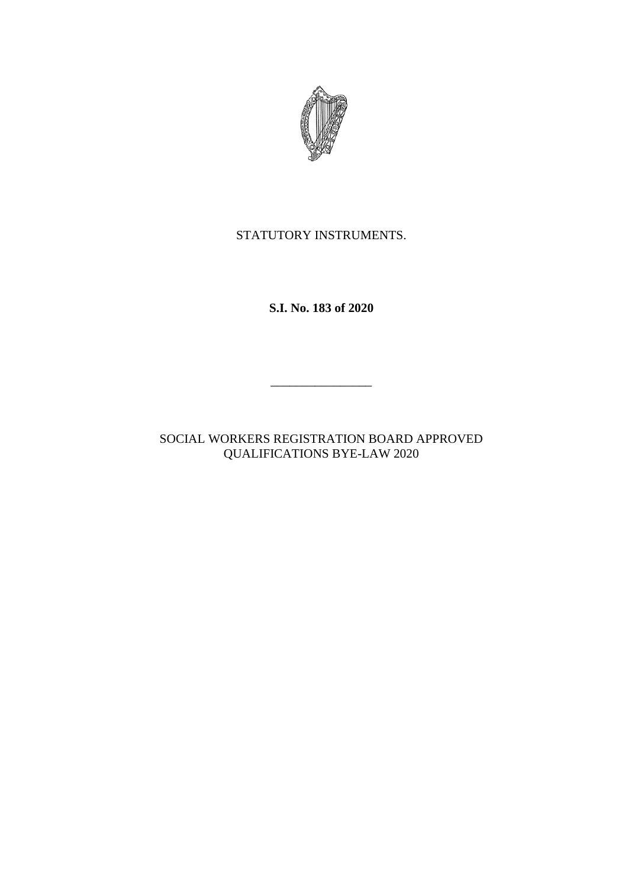

# STATUTORY INSTRUMENTS.

**S.I. No. 183 of 2020**

SOCIAL WORKERS REGISTRATION BOARD APPROVED QUALIFICATIONS BYE-LAW 2020

\_\_\_\_\_\_\_\_\_\_\_\_\_\_\_\_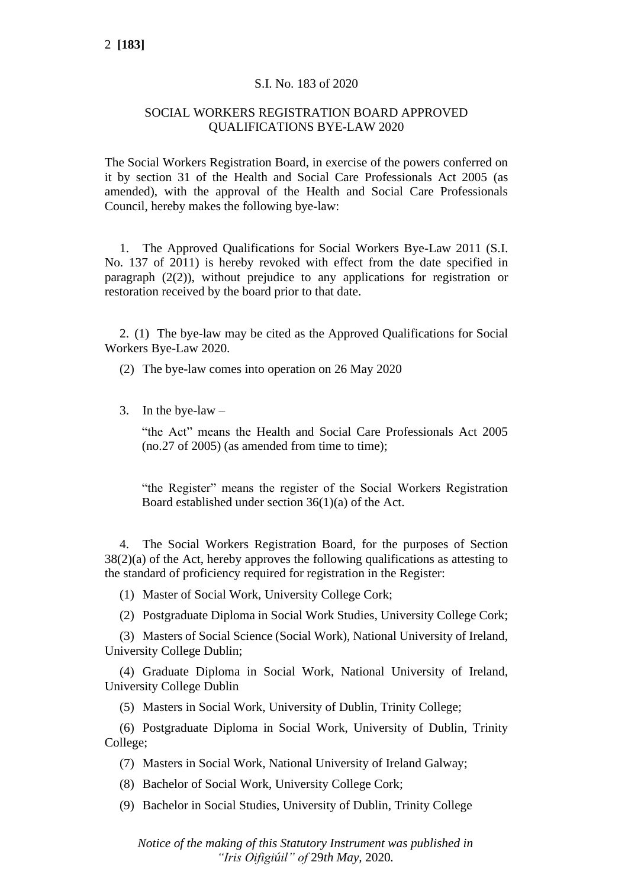#### S.I. No. 183 of 2020

### SOCIAL WORKERS REGISTRATION BOARD APPROVED QUALIFICATIONS BYE-LAW 2020

The Social Workers Registration Board, in exercise of the powers conferred on it by section 31 of the Health and Social Care Professionals Act 2005 (as amended), with the approval of the Health and Social Care Professionals Council, hereby makes the following bye-law:

1. The Approved Qualifications for Social Workers Bye-Law 2011 (S.I. No. 137 of 2011) is hereby revoked with effect from the date specified in paragraph (2(2)), without prejudice to any applications for registration or restoration received by the board prior to that date.

2. (1) The bye-law may be cited as the Approved Qualifications for Social Workers Bye-Law 2020.

(2) The bye-law comes into operation on 26 May 2020

3. In the bye-law  $-$ 

"the Act" means the Health and Social Care Professionals Act 2005  $(no.27 of 2005)$  (as amended from time to time);

"the Register" means the register of the Social Workers Registration Board established under section 36(1)(a) of the Act.

4. The Social Workers Registration Board, for the purposes of Section 38(2)(a) of the Act, hereby approves the following qualifications as attesting to the standard of proficiency required for registration in the Register:

(1) Master of Social Work, University College Cork;

(2) Postgraduate Diploma in Social Work Studies, University College Cork;

(3) Masters of Social Science (Social Work), National University of Ireland, University College Dublin;

(4) Graduate Diploma in Social Work, National University of Ireland, University College Dublin

(5) Masters in Social Work, University of Dublin, Trinity College;

(6) Postgraduate Diploma in Social Work, University of Dublin, Trinity College;

(7) Masters in Social Work, National University of Ireland Galway;

(8) Bachelor of Social Work, University College Cork;

(9) Bachelor in Social Studies, University of Dublin, Trinity College

*Notice of the making of this Statutory Instrument was published in "Iris Oifigiúil" of* 29*th May,* 2020*.*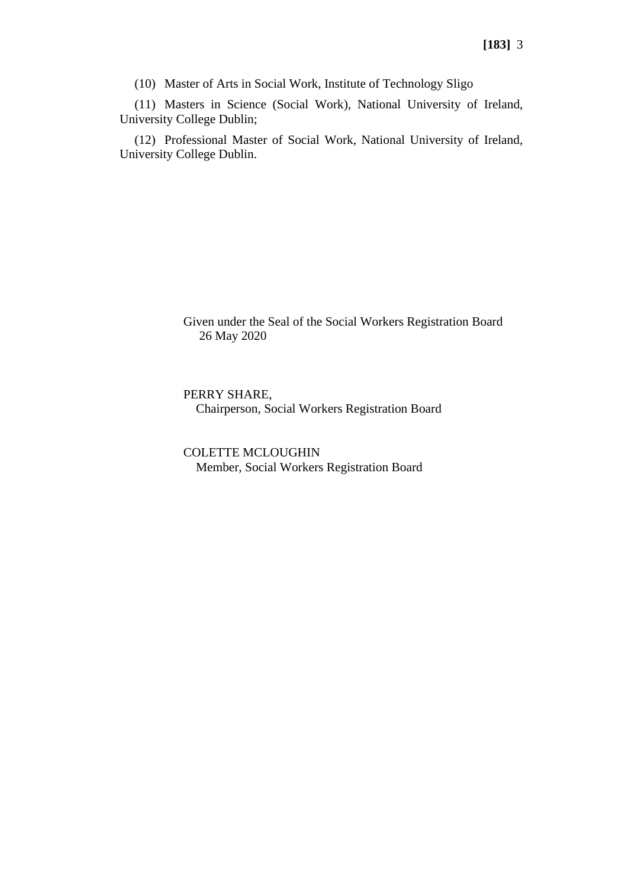(10) Master of Arts in Social Work, Institute of Technology Sligo

(11) Masters in Science (Social Work), National University of Ireland, University College Dublin;

(12) Professional Master of Social Work, National University of Ireland, University College Dublin.

> Given under the Seal of the Social Workers Registration Board 26 May 2020

PERRY SHARE, Chairperson, Social Workers Registration Board

COLETTE MCLOUGHIN Member, Social Workers Registration Board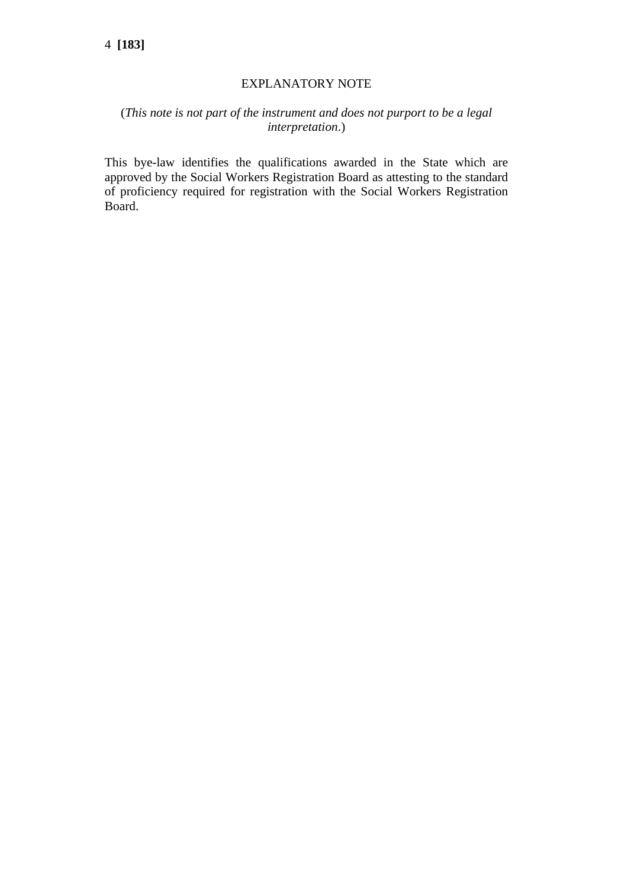### EXPLANATORY NOTE

## (*This note is not part of the instrument and does not purport to be a legal interpretation*.)

This bye-law identifies the qualifications awarded in the State which are approved by the Social Workers Registration Board as attesting to the standard of proficiency required for registration with the Social Workers Registration Board.